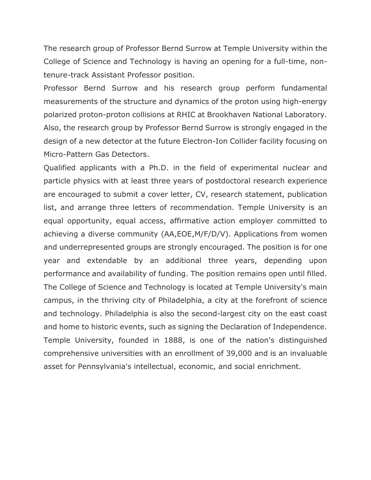The research group of Professor Bernd Surrow at Temple University within the College of Science and Technology is having an opening for a full-time, nontenure-track Assistant Professor position.

Professor Bernd Surrow and his research group perform fundamental measurements of the structure and dynamics of the proton using high-energy polarized proton-proton collisions at RHIC at Brookhaven National Laboratory. Also, the research group by Professor Bernd Surrow is strongly engaged in the design of a new detector at the future Electron-Ion Collider facility focusing on Micro-Pattern Gas Detectors.

Qualified applicants with a Ph.D. in the field of experimental nuclear and particle physics with at least three years of postdoctoral research experience are encouraged to submit a cover letter, CV, research statement, publication list, and arrange three letters of recommendation. Temple University is an equal opportunity, equal access, affirmative action employer committed to achieving a diverse community (AA,EOE,M/F/D/V). Applications from women and underrepresented groups are strongly encouraged. The position is for one year and extendable by an additional three years, depending upon performance and availability of funding. The position remains open until filled. The College of Science and Technology is located at Temple University's main campus, in the thriving city of Philadelphia, a city at the forefront of science and technology. Philadelphia is also the second-largest city on the east coast and home to historic events, such as signing the Declaration of Independence. Temple University, founded in 1888, is one of the nation's distinguished comprehensive universities with an enrollment of 39,000 and is an invaluable asset for Pennsylvania's intellectual, economic, and social enrichment.